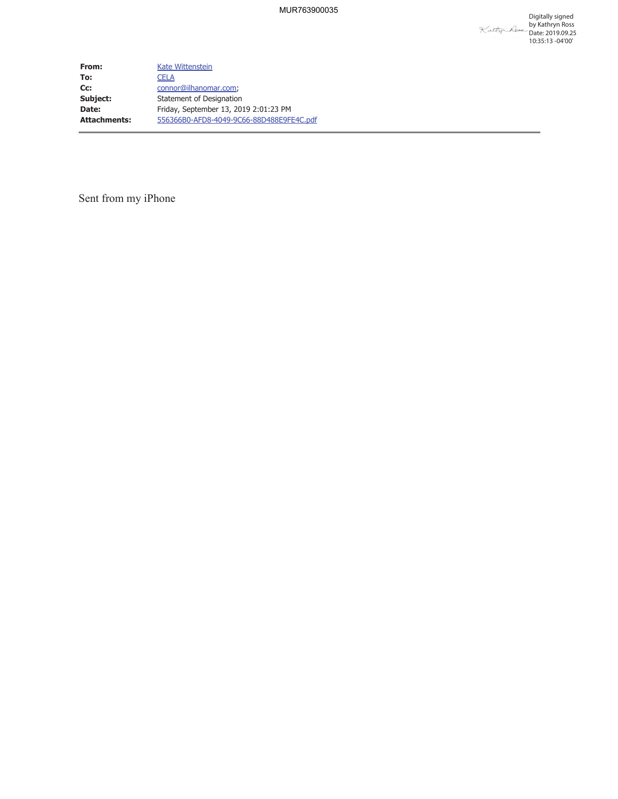**From:** Kate Wittenstein **To:** CELA **Cc:** connor@ilhanomar.com; **Subject:** Statement of Designation **Date:** Friday, September 13, 2019 2:01:23 PM **Attachments:** 556366B0-AFD8-4049-9C66-88D488E9FE4C.pdf

Sent from my iPhone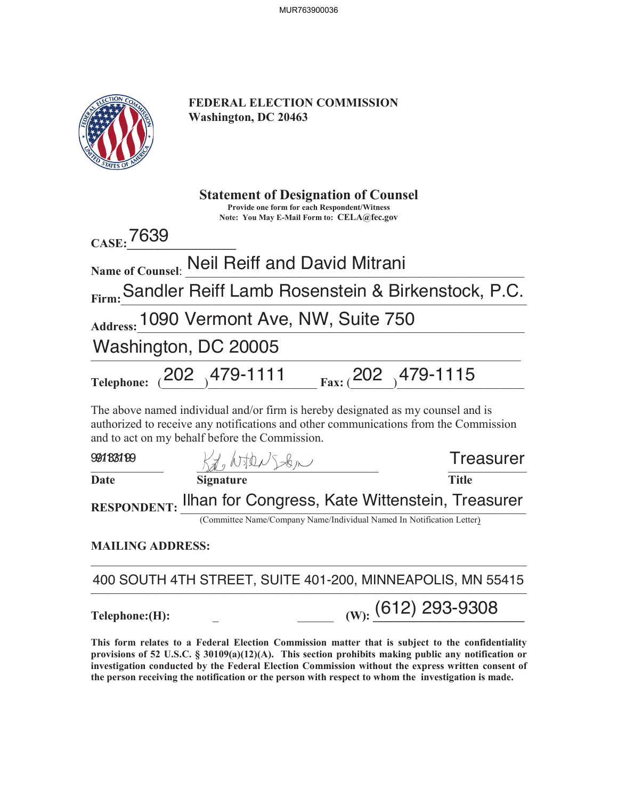| <b>JN COMMONS</b><br><b>THE STATES OF AN</b> |
|----------------------------------------------|
|                                              |

**FEDERAL ELECTION COMMISSION Washington, DC 20463**

| <b>Statement of Designation of Counsel</b><br><b>Provide one form for each Respondent/Witness</b><br>Note: You May E-Mail Form to: CELA@fec.gov                                                                            |                                                                       |  |                  |  |
|----------------------------------------------------------------------------------------------------------------------------------------------------------------------------------------------------------------------------|-----------------------------------------------------------------------|--|------------------|--|
| CASE: 7639                                                                                                                                                                                                                 |                                                                       |  |                  |  |
|                                                                                                                                                                                                                            | Name of Counsel: Neil Reiff and David Mitrani                         |  |                  |  |
|                                                                                                                                                                                                                            | Firm: Sandler Reiff Lamb Rosenstein & Birkenstock, P.C.               |  |                  |  |
|                                                                                                                                                                                                                            | Address: 1090 Vermont Ave, NW, Suite 750                              |  |                  |  |
| Washington, DC 20005                                                                                                                                                                                                       |                                                                       |  |                  |  |
|                                                                                                                                                                                                                            | Telephone: $(202)$ 479-1111 $_{\text{Fax:}} (202)$ 479-1115           |  |                  |  |
| The above named individual and/or firm is hereby designated as my counsel and is<br>authorized to receive any notifications and other communications from the Commission<br>and to act on my behalf before the Commission. |                                                                       |  |                  |  |
| 99183199                                                                                                                                                                                                                   | Kt Noter Sten                                                         |  | <b>Treasurer</b> |  |
| <b>Date</b>                                                                                                                                                                                                                | <b>Signature</b>                                                      |  | <b>Title</b>     |  |
| RESPONDENT: Ilhan for Congress, Kate Wittenstein, Treasurer                                                                                                                                                                |                                                                       |  |                  |  |
|                                                                                                                                                                                                                            | (Committee Name/Company Name/Individual Named In Notification Letter) |  |                  |  |
| <b>MAILING ADDRESS:</b>                                                                                                                                                                                                    |                                                                       |  |                  |  |
|                                                                                                                                                                                                                            | 400 SOUTH 4TH STREET, SUITE 401-200, MINNEAPOLIS, MN 55415            |  |                  |  |
| Telephone: (H):                                                                                                                                                                                                            | $_{(W):}$ (612) 293-9308                                              |  |                  |  |
|                                                                                                                                                                                                                            |                                                                       |  |                  |  |

**This form relates to a Federal Election Commission matter that is subject to the confidentiality provisions of 52 U.S.C. § 30109(a)(12)(A). This section prohibits making public any notification or**  investigation conducted by the Federal Election Commission without the express written consent of **the person receiving the notification or the person with respect to whom the investigation is made.**